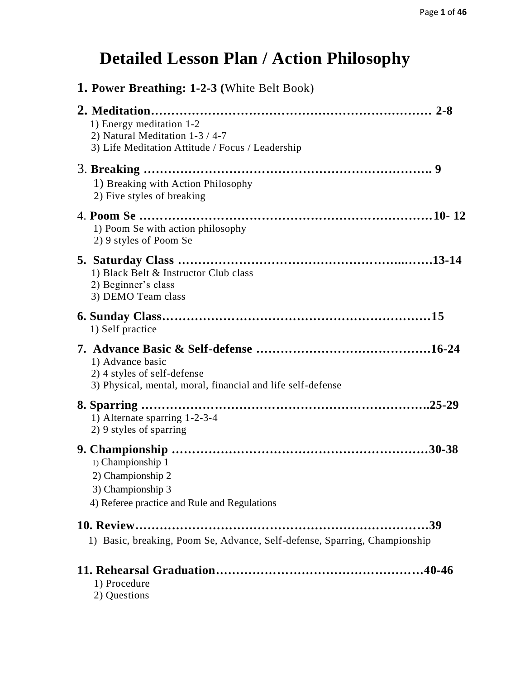## **Detailed Lesson Plan / Action Philosophy**

| <b>1. Power Breathing: 1-2-3 (White Belt Book)</b>                                                              |        |
|-----------------------------------------------------------------------------------------------------------------|--------|
| 1) Energy meditation 1-2<br>2) Natural Meditation 1-3 / 4-7<br>3) Life Meditation Attitude / Focus / Leadership |        |
| 1) Breaking with Action Philosophy<br>2) Five styles of breaking                                                |        |
| 1) Poom Se with action philosophy<br>2) 9 styles of Poom Se                                                     |        |
| 1) Black Belt & Instructor Club class<br>2) Beginner's class<br>3) DEMO Team class                              |        |
| 1) Self practice                                                                                                |        |
| 1) Advance basic<br>2) 4 styles of self-defense<br>3) Physical, mental, moral, financial and life self-defense  |        |
| 1) Alternate sparring 1-2-3-4<br>2) 9 styles of sparring                                                        |        |
| 1) Championship 1<br>2) Championship 2<br>3) Championship 3<br>4) Referee practice and Rule and Regulations     | .30-38 |
| 1) Basic, breaking, Poom Se, Advance, Self-defense, Sparring, Championship                                      |        |
| 1) Procedure<br>2) Questions                                                                                    |        |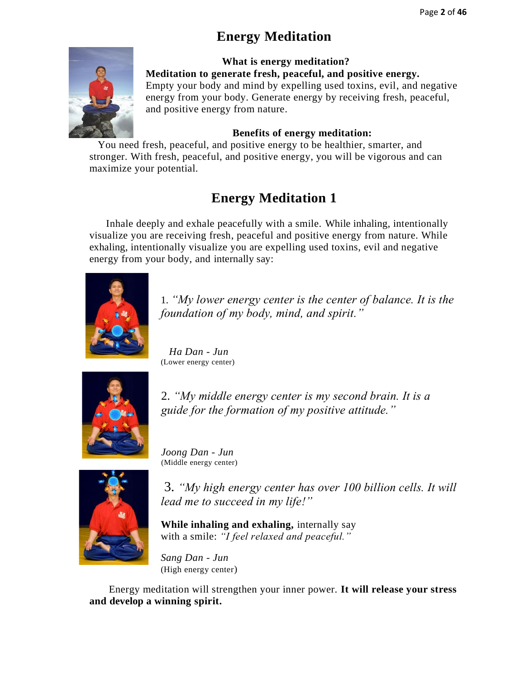## **Energy Meditation**



 **What is energy meditation? Meditation to generate fresh, peaceful, and positive energy.** Empty your body and mind by expelling used toxins, evil, and negative energy from your body. Generate energy by receiving fresh, peaceful, and positive energy from nature.

#### **Benefits of energy meditation:**

 You need fresh, peaceful, and positive energy to be healthier, smarter, and stronger. With fresh, peaceful, and positive energy, you will be vigorous and can maximize your potential.

## **Energy Meditation 1**

 Inhale deeply and exhale peacefully with a smile. While inhaling, intentionally visualize you are receiving fresh, peaceful and positive energy from nature. While exhaling, intentionally visualize you are expelling used toxins, evil and negative energy from your body, and internally say:



1. *"My lower energy center is the center of balance. It is the foundation of my body, mind, and spirit."*

 *Ha Dan - Jun*  (Lower energy center)



2. *"My middle energy center is my second brain. It is a guide for the formation of my positive attitude."* 



*Joong Dan - Jun*  (Middle energy center)

3. *"My high energy center has over 100 billion cells. It will lead me to succeed in my life!"* 

**While inhaling and exhaling,** internally say with a smile: *"I feel relaxed and peaceful."*

*Sang Dan - Jun* (High energy center)

Energy meditation will strengthen your inner power. **It will release your stress and develop a winning spirit.**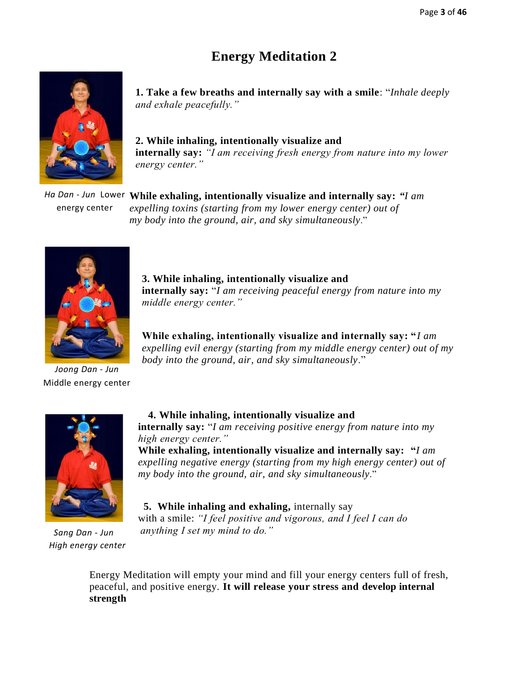## **Energy Meditation 2**



**1. Take a few breaths and internally say with a smile**: "*Inhale deeply and exhale peacefully."*

**2. While inhaling, intentionally visualize and internally say:** *"I am receiving fresh energy from nature into my lower energy center."*

**While exhaling, intentionally visualize and internally say:** *"I am Ha Dan - Jun* Lower *expelling toxins (starting from my lower energy center) out of my body into the ground, air, and sky simultaneously*." energy center



*Joong Dan - Jun*  Middle energy center

**3. While inhaling, intentionally visualize and internally say:** "*I am receiving peaceful energy from nature into my middle energy center."*

**While exhaling, intentionally visualize and internally say: "***I am expelling evil energy (starting from my middle energy center) out of my body into the ground, air, and sky simultaneously*."



 *Sang Dan - Jun High energy center*

#### **4. While inhaling, intentionally visualize and**

**internally say:** "*I am receiving positive energy from nature into my high energy center."*

**While exhaling, intentionally visualize and internally say: "***I am expelling negative energy (starting from my high energy center) out of my body into the ground, air, and sky simultaneously*."

#### **5. While inhaling and exhaling,** internally say

with a smile: *"I feel positive and vigorous, and I feel I can do anything I set my mind to do."* 

Energy Meditation will empty your mind and fill your energy centers full of fresh, peaceful, and positive energy. **It will release your stress and develop internal strength**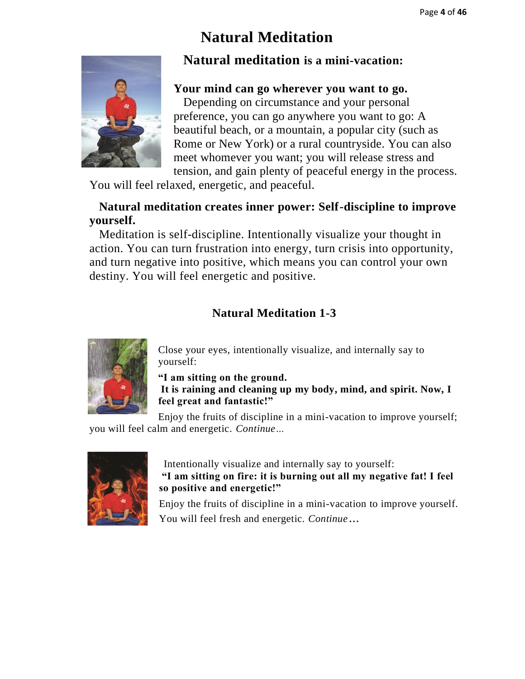## **Natural Meditation**



## **Natural meditation is a mini-vacation:**

#### **Your mind can go wherever you want to go.**

 Depending on circumstance and your personal preference, you can go anywhere you want to go: A beautiful beach, or a mountain, a popular city (such as Rome or New York) or a rural countryside. You can also meet whomever you want; you will release stress and tension, and gain plenty of peaceful energy in the process.

You will feel relaxed, energetic, and peaceful.

#### **Natural meditation creates inner power: Self-discipline to improve yourself.**

 Meditation is self-discipline. Intentionally visualize your thought in action. You can turn frustration into energy, turn crisis into opportunity, and turn negative into positive, which means you can control your own destiny. You will feel energetic and positive.

## **Natural Meditation 1-3**



Close your eyes, intentionally visualize, and internally say to yourself:

**"I am sitting on the ground.** 

**It is raining and cleaning up my body, mind, and spirit. Now, I feel great and fantastic!"** 

Enjoy the fruits of discipline in a mini-vacation to improve yourself; you will feel calm and energetic. *Continue…*



 Intentionally visualize and internally say to yourself: **"I am sitting on fire: it is burning out all my negative fat! I feel so positive and energetic!"**  

Enjoy the fruits of discipline in a mini-vacation to improve yourself. You will feel fresh and energetic. *Continue…*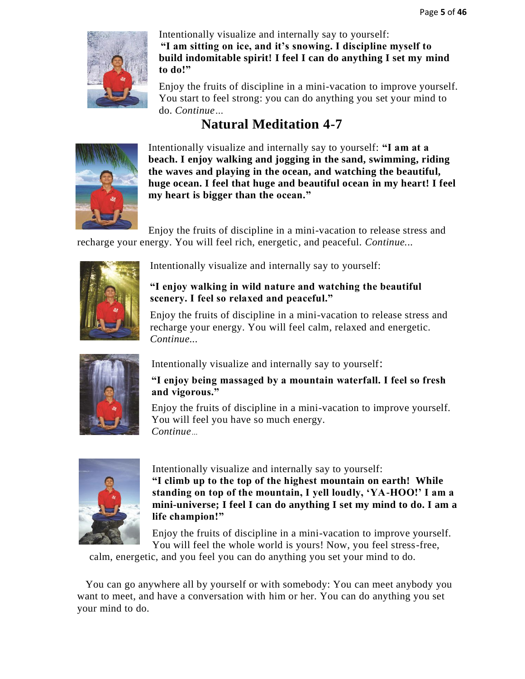

Intentionally visualize and internally say to yourself: **"I am sitting on ice, and it's snowing. I discipline myself to build indomitable spirit! I feel I can do anything I set my mind to do!"** 

Enjoy the fruits of discipline in a mini-vacation to improve yourself. You start to feel strong: you can do anything you set your mind to do. *Continue…*

## **Natural Meditation 4-7**



Intentionally visualize and internally say to yourself: **"I am at a beach. I enjoy walking and jogging in the sand, swimming, riding the waves and playing in the ocean, and watching the beautiful, huge ocean. I feel that huge and beautiful ocean in my heart! I feel my heart is bigger than the ocean."**

Enjoy the fruits of discipline in a mini-vacation to release stress and recharge your energy. You will feel rich, energetic, and peaceful. *Continue...*



Intentionally visualize and internally say to yourself:

## **"I enjoy walking in wild nature and watching the beautiful scenery. I feel so relaxed and peaceful."**

Enjoy the fruits of discipline in a mini-vacation to release stress and recharge your energy. You will feel calm, relaxed and energetic. *Continue...* 



Intentionally visualize and internally say to yourself:

#### **"I enjoy being massaged by a mountain waterfall. I feel so fresh and vigorous."**

Enjoy the fruits of discipline in a mini-vacation to improve yourself. You will feel you have so much energy. *Continue…*



Intentionally visualize and internally say to yourself: **"I climb up to the top of the highest mountain on earth! While standing on top of the mountain, I yell loudly, 'YA-HOO!' I am a mini-universe; I feel I can do anything I set my mind to do. I am a life champion!"**

Enjoy the fruits of discipline in a mini-vacation to improve yourself. You will feel the whole world is yours! Now, you feel stress-free,

calm, energetic, and you feel you can do anything you set your mind to do.

You can go anywhere all by yourself or with somebody: You can meet anybody you want to meet, and have a conversation with him or her. You can do anything you set your mind to do.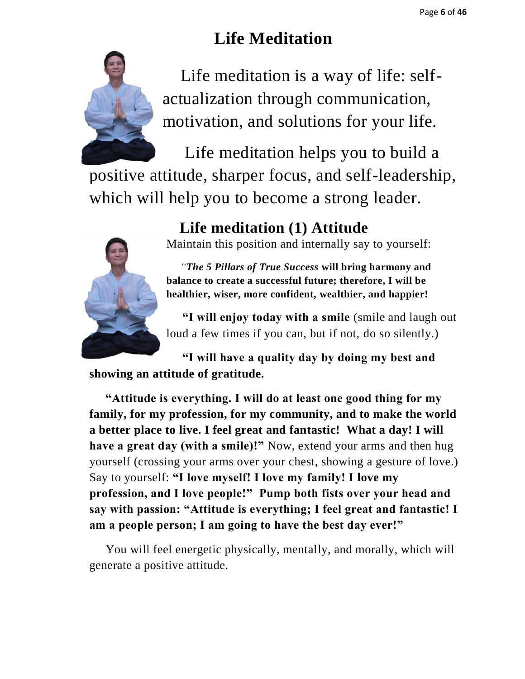## **Life Meditation**



 Life meditation is a way of life: selfactualization through communication, motivation, and solutions for your life.

 Life meditation helps you to build a positive attitude, sharper focus, and self-leadership, which will help you to become a strong leader.



## **Life meditation (1) Attitude**

Maintain this position and internally say to yourself:

 *"The 5 Pillars of True Success* **will bring harmony and balance to create a successful future; therefore, I will be healthier, wiser, more confident, wealthier, and happier!** 

 **"I will enjoy today with a smile** (smile and laugh out loud a few times if you can, but if not, do so silently.)

 **"I will have a quality day by doing my best and showing an attitude of gratitude.** 

 **"Attitude is everything. I will do at least one good thing for my family, for my profession, for my community, and to make the world a better place to live. I feel great and fantastic! What a day! I will have a great day (with a smile)!"** Now, extend your arms and then hug yourself (crossing your arms over your chest, showing a gesture of love.) Say to yourself: **"I love myself! I love my family! I love my profession, and I love people!" Pump both fists over your head and say with passion: "Attitude is everything; I feel great and fantastic! I am a people person; I am going to have the best day ever!"** 

 You will feel energetic physically, mentally, and morally, which will generate a positive attitude.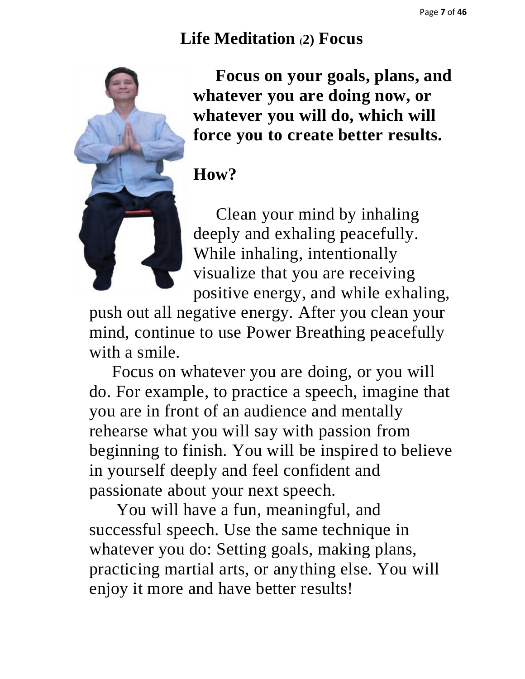## **Life Meditation (2) Focus**



 **Focus on your goals, plans, and whatever you are doing now, or whatever you will do, which will force you to create better results.** 

## **How?**

 Clean your mind by inhaling deeply and exhaling peacefully. While inhaling, intentionally visualize that you are receiving positive energy, and while exhaling,

push out all negative energy. After you clean your mind, continue to use Power Breathing peacefully with a smile.

 Focus on whatever you are doing, or you will do. For example, to practice a speech, imagine that you are in front of an audience and mentally rehearse what you will say with passion from beginning to finish. You will be inspired to believe in yourself deeply and feel confident and passionate about your next speech.

 You will have a fun, meaningful, and successful speech. Use the same technique in whatever you do: Setting goals, making plans, practicing martial arts, or anything else. You will enjoy it more and have better results!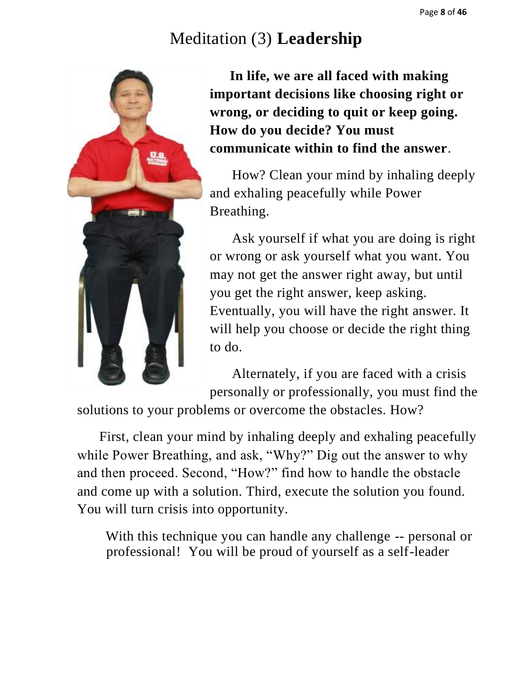## Meditation (3) **Leadership**



 **In life, we are all faced with making important decisions like choosing right or wrong, or deciding to quit or keep going. How do you decide? You must communicate within to find the answer**.

 How? Clean your mind by inhaling deeply and exhaling peacefully while Power Breathing.

 Ask yourself if what you are doing is right or wrong or ask yourself what you want. You may not get the answer right away, but until you get the right answer, keep asking. Eventually, you will have the right answer. It will help you choose or decide the right thing to do.

 Alternately, if you are faced with a crisis personally or professionally, you must find the

solutions to your problems or overcome the obstacles. How?

 First, clean your mind by inhaling deeply and exhaling peacefully while Power Breathing, and ask, "Why?" Dig out the answer to why and then proceed. Second, "How?" find how to handle the obstacle and come up with a solution. Third, execute the solution you found. You will turn crisis into opportunity.

 With this technique you can handle any challenge -- personal or professional! You will be proud of yourself as a self-leader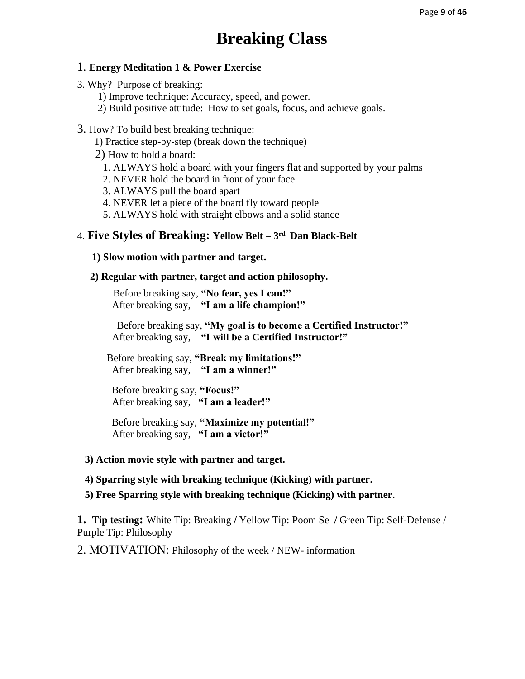## **Breaking Class**

#### 1. **Energy Meditation 1 & Power Exercise**

- 3. Why? Purpose of breaking:
	- 1) Improve technique: Accuracy, speed, and power.
	- 2) Build positive attitude: How to set goals, focus, and achieve goals.

#### 3. How? To build best breaking technique:

- 1) Practice step-by-step (break down the technique)
- 2) How to hold a board:
	- 1. ALWAYS hold a board with your fingers flat and supported by your palms
	- 2. NEVER hold the board in front of your face
	- 3. ALWAYS pull the board apart
	- 4. NEVER let a piece of the board fly toward people
	- 5. ALWAYS hold with straight elbows and a solid stance

#### 4. **Five Styles of Breaking: Yellow Belt – 3 rd Dan Black-Belt**

#### **1) Slow motion with partner and target.**

#### **2) Regular with partner, target and action philosophy.**

 Before breaking say, **"No fear, yes I can!"**  After breaking say, **"I am a life champion!"**

Before breaking say, **"My goal is to become a Certified Instructor!"**  After breaking say, **"I will be a Certified Instructor!"** 

Before breaking say, **"Break my limitations!"**  After breaking say, **"I am a winner!"**

 Before breaking say, **"Focus!"** After breaking say, **"I am a leader!"**

 Before breaking say, **"Maximize my potential!"** After breaking say, **"I am a victor!"**

#### **3) Action movie style with partner and target.**

#### **4) Sparring style with breaking technique (Kicking) with partner.**

**5) Free Sparring style with breaking technique (Kicking) with partner.**

**1. Tip testing:** White Tip: Breaking **/** Yellow Tip: Poom Se **/** Green Tip: Self-Defense / Purple Tip: Philosophy

#### 2. MOTIVATION: Philosophy of the week / NEW- information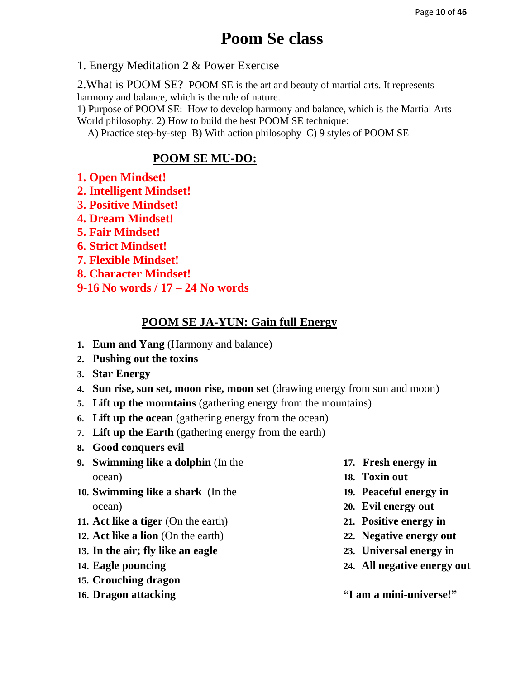## **Poom Se class**

1. Energy Meditation 2 & Power Exercise

2.What is POOM SE? POOM SE is the art and beauty of martial arts. It represents harmony and balance, which is the rule of nature.

1) Purpose of POOM SE: How to develop harmony and balance, which is the Martial Arts World philosophy. 2) How to build the best POOM SE technique:

A) Practice step-by-step B) With action philosophy C) 9 styles of POOM SE

#### **POOM SE MU-DO:**

- **1. Open Mindset!**
- **2. Intelligent Mindset!**
- **3. Positive Mindset!**
- **4. Dream Mindset!**
- **5. Fair Mindset!**
- **6. Strict Mindset!**
- **7. Flexible Mindset!**
- **8. Character Mindset!**
- **9-16 No words / 17 – 24 No words**

#### **POOM SE JA-YUN: Gain full Energy**

- **1. Eum and Yang** (Harmony and balance)
- **2. Pushing out the toxins**
- **3. Star Energy**
- **4. Sun rise, sun set, moon rise, moon set** (drawing energy from sun and moon)
- **5. Lift up the mountains** (gathering energy from the mountains)
- **6. Lift up the ocean** (gathering energy from the ocean)
- **7. Lift up the Earth** (gathering energy from the earth)
- **8. Good conquers evil**
- **9. Swimming like a dolphin** (In the ocean)
- **10. Swimming like a shark** (In the ocean)
- **11. Act like a tiger** (On the earth)
- **12. Act like a lion** (On the earth)
- **13. In the air; fly like an eagle**
- **14. Eagle pouncing**
- **15. Crouching dragon**
- **16. Dragon attacking**
- **17. Fresh energy in**
- **18. Toxin out**
- **19. Peaceful energy in**
- **20. Evil energy out**
- **21. Positive energy in**
- **22. Negative energy out**
- **23. Universal energy in**
- **24. All negative energy out**

**"I am a mini-universe!"**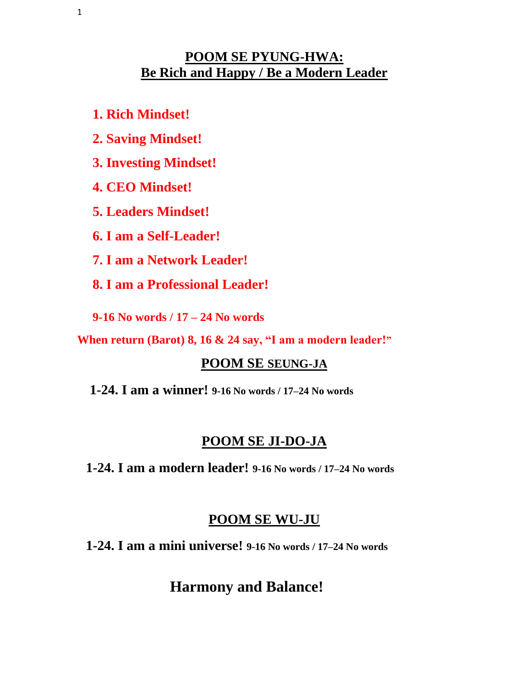## **POOM SE PYUNG-HWA: Be Rich and Happy / Be a Modern Leader**

- **1. Rich Mindset!**
- **2. Saving Mindset!**
- **3. Investing Mindset!**
- **4. CEO Mindset!**
- **5. Leaders Mindset!**
- **6. I am a Self-Leader!**
- **7. I am a Network Leader!**
- **8. I am a Professional Leader!**
- **9-16 No words / 17 – 24 No words**

**When return (Barot) 8, 16 & 24 say, "I am a modern leader!"**

## **POOM SE SEUNG-JA**

 **1-24. I am a winner! 9-16 No words / 17–24 No words**

## **POOM SE JI-DO-JA**

 **1-24. I am a modern leader! 9-16 No words / 17–24 No words**

## **POOM SE WU-JU**

 **1-24. I am a mini universe! 9-16 No words / 17–24 No words**

## **Harmony and Balance!**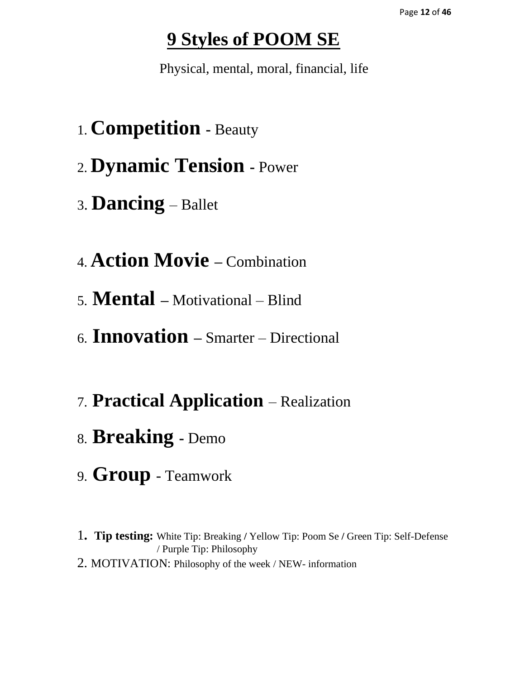## **9 Styles of POOM SE**

Physical, mental, moral, financial, life

- 1. **Competition -** Beauty
- 2. **Dynamic Tension -** Power
- <sup>3</sup>. **Dancing** Ballet
- 4. **Action Movie –** Combination
- 5. **Mental –** Motivational Blind
- 6. **Innovation –** Smarter Directional
- 7. **Practical Application** Realization
- 8. **Breaking -** Demo
- 9. **Group**  Teamwork
- 1**. Tip testing:** White Tip: Breaking **/** Yellow Tip: Poom Se **/** Green Tip: Self-Defense / Purple Tip: Philosophy
- 2. MOTIVATION: Philosophy of the week / NEW- information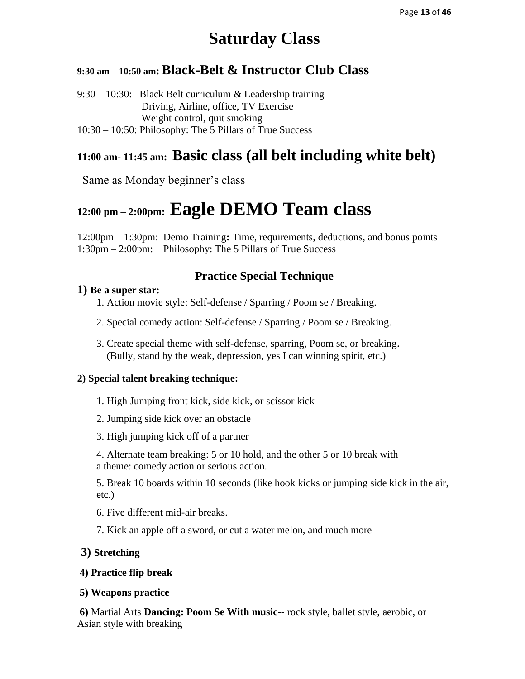## **Saturday Class**

#### **9:30 am – 10:50 am: Black-Belt & Instructor Club Class**

9:30 – 10:30: Black Belt curriculum & Leadership training Driving, Airline, office, TV Exercise Weight control, quit smoking 10:30 – 10:50: Philosophy: The 5 Pillars of True Success

## **11:00 am- 11:45 am: Basic class (all belt including white belt)**

Same as Monday beginner's class

## **12:00 pm – 2:00pm: Eagle DEMO Team class**

12:00pm – 1:30pm: Demo Training**:** Time, requirements, deductions, and bonus points 1:30pm – 2:00pm: Philosophy: The 5 Pillars of True Success

#### **Practice Special Technique**

#### **1) Be a super star:**

- 1. Action movie style: Self-defense / Sparring / Poom se / Breaking.
- 2. Special comedy action: Self-defense / Sparring / Poom se / Breaking.
- 3. Create special theme with self-defense, sparring, Poom se, or breaking. (Bully, stand by the weak, depression, yes I can winning spirit, etc.)

#### **2) Special talent breaking technique:**

- 1. High Jumping front kick, side kick, or scissor kick
- 2. Jumping side kick over an obstacle
- 3. High jumping kick off of a partner

4. Alternate team breaking: 5 or 10 hold, and the other 5 or 10 break with a theme: comedy action or serious action.

5. Break 10 boards within 10 seconds (like hook kicks or jumping side kick in the air, etc.)

6. Five different mid-air breaks.

7. Kick an apple off a sword, or cut a water melon, and much more

#### **3) Stretching**

#### **4) Practice flip break**

#### **5) Weapons practice**

**6)** Martial Arts **Dancing: Poom Se With music--** rock style, ballet style, aerobic, or Asian style with breaking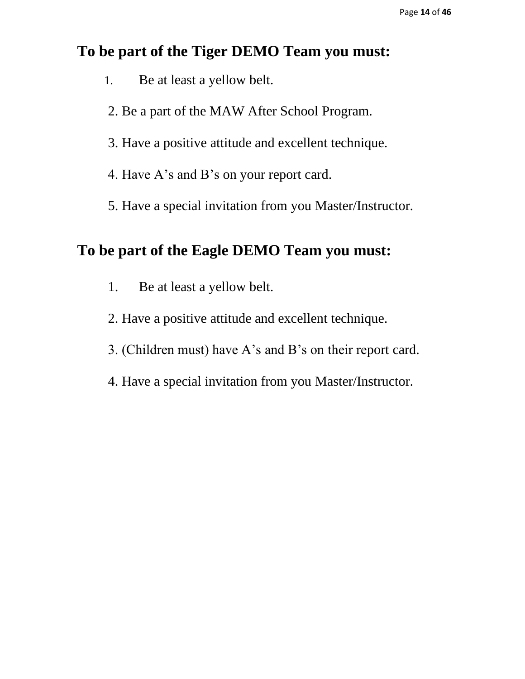## **To be part of the Tiger DEMO Team you must:**

- 1. Be at least a yellow belt.
- 2. Be a part of the MAW After School Program.
- 3. Have a positive attitude and excellent technique.
- 4. Have A's and B's on your report card.
- 5. Have a special invitation from you Master/Instructor.

## **To be part of the Eagle DEMO Team you must:**

- 1. Be at least a yellow belt.
- 2. Have a positive attitude and excellent technique.
- 3. (Children must) have A's and B's on their report card.
- 4. Have a special invitation from you Master/Instructor.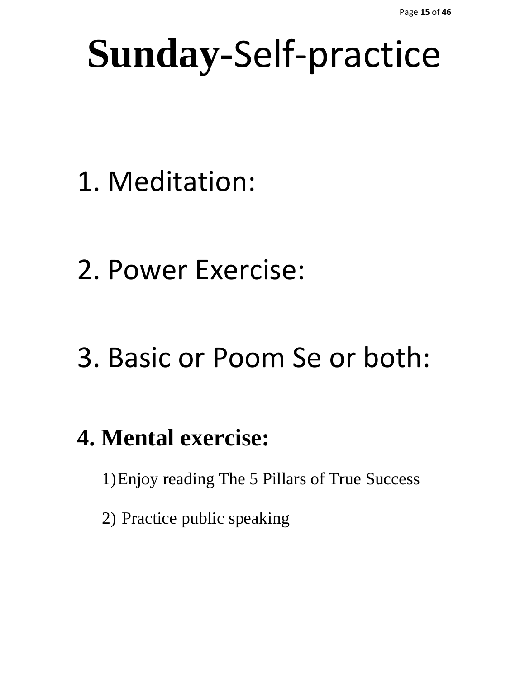# **Sunday-**Self-practice

- 1. Meditation:
- 2. Power Exercise:

# 3. Basic or Poom Se or both:

## **4. Mental exercise:**

1)Enjoy reading The 5 Pillars of True Success

2) Practice public speaking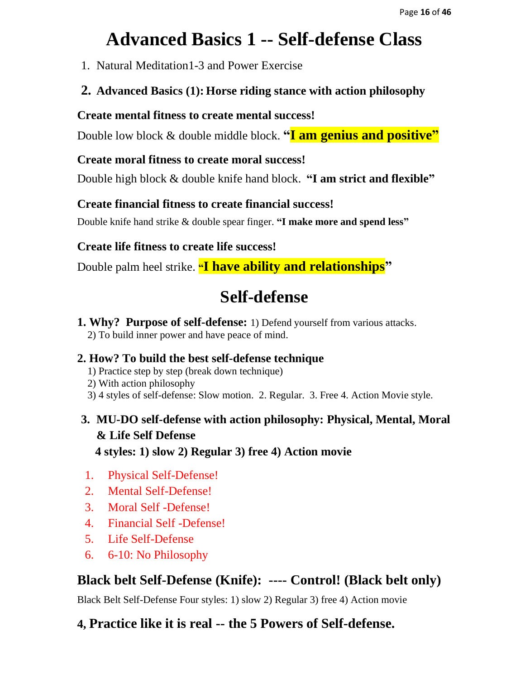## **Advanced Basics 1 -- Self-defense Class**

- 1. Natural Meditation1-3 and Power Exercise
- **2. Advanced Basics (1): Horse riding stance with action philosophy**

#### **Create mental fitness to create mental success!**

Double low block & double middle block. **"I am genius and positive"**

## **Create moral fitness to create moral success!**

Double high block & double knife hand block. **"I am strict and flexible"**

#### **Create financial fitness to create financial success!**

Double knife hand strike & double spear finger. **"I make more and spend less"**

## **Create life fitness to create life success!**

Double palm heel strike. **"I have ability and relationships"**

## **Self-defense**

**1. Why? Purpose of self-defense:** 1) Defend yourself from various attacks. 2) To build inner power and have peace of mind.

## **2. How? To build the best self-defense technique**

- 1) Practice step by step (break down technique)
- 2) With action philosophy
- 3) 4 styles of self-defense: Slow motion. 2. Regular. 3. Free 4. Action Movie style.

## **3. MU-DO self-defense with action philosophy: Physical, Mental, Moral & Life Self Defense 4 styles: 1) slow 2) Regular 3) free 4) Action movie**

- 1. Physical Self-Defense!
- 2. Mental Self-Defense!
- 3. Moral Self -Defense!
- 4. Financial Self -Defense!
- 5. Life Self-Defense
- 6. 6-10: No Philosophy

## **Black belt Self-Defense (Knife): ---- Control! (Black belt only)**

Black Belt Self-Defense Four styles: 1) slow 2) Regular 3) free 4) Action movie

## **4, Practice like it is real -- the 5 Powers of Self-defense.**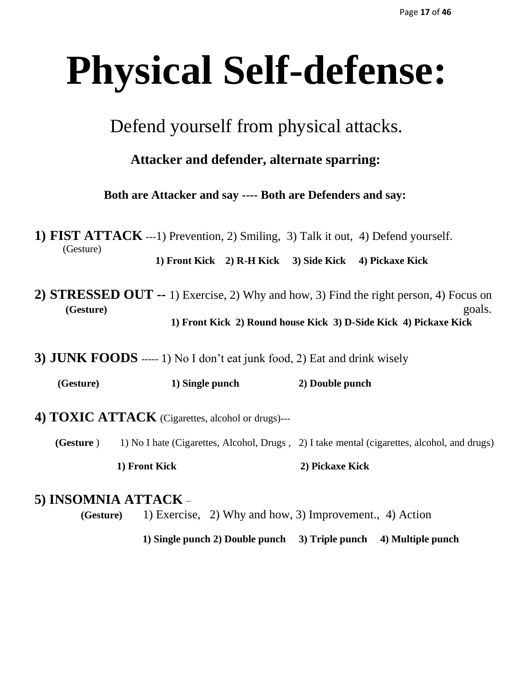# **Physical Self-defense:**

Defend yourself from physical attacks.

 **Attacker and defender, alternate sparring:**

 **Both are Attacker and say ---- Both are Defenders and say:**

**1) FIST ATTACK** ---1) Prevention, 2) Smiling, 3) Talk it out, 4) Defend yourself. (Gesture) **1) Front Kick 2) R-H Kick 3) Side Kick 4) Pickaxe Kick**

- **2) STRESSED OUT --** 1) Exercise, 2) Why and how, 3) Find the right person, 4) Focus on  **(Gesture)** goals.  **1) Front Kick 2) Round house Kick 3) D-Side Kick 4) Pickaxe Kick**
- **3) JUNK FOODS** ----- 1) No I don't eat junk food, 2) Eat and drink wisely

 **(Gesture) 1) Single punch 2) Double punch** 

- **4) TOXIC ATTACK** (Cigarettes, alcohol or drugs)---
	- **(Gesture** ) 1) No I hate (Cigarettes, Alcohol, Drugs, 2) I take mental (cigarettes, alcohol, and drugs)  **1) Front Kick 2) Pickaxe Kick**

#### **5) INSOMNIA ATTACK** –

 **(Gesture)** 1) Exercise, 2) Why and how, 3) Improvement., 4) Action

 **1) Single punch 2) Double punch 3) Triple punch 4) Multiple punch**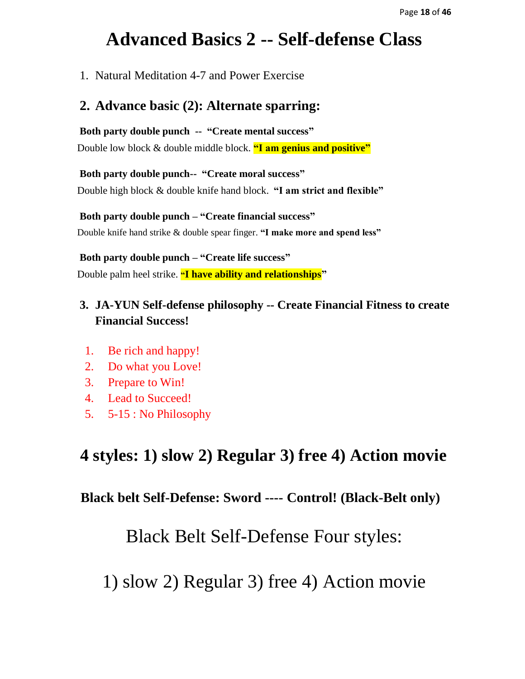## **Advanced Basics 2 -- Self-defense Class**

1. Natural Meditation 4-7 and Power Exercise

#### **2. Advance basic (2): Alternate sparring:**

**Both party double punch -- "Create mental success"**

Double low block & double middle block. **"I am genius and positive"**

**Both party double punch-- "Create moral success"** Double high block & double knife hand block. **"I am strict and flexible"**

**Both party double punch – "Create financial success"** Double knife hand strike & double spear finger. **"I make more and spend less"**

**Both party double punch – "Create life success"** Double palm heel strike. **"I have ability and relationships"**

## **3. JA-YUN Self-defense philosophy -- Create Financial Fitness to create Financial Success!**

- 1. Be rich and happy!
- 2. Do what you Love!
- 3. Prepare to Win!
- 4. Lead to Succeed!
- 5. 5-15 : No Philosophy

## **4 styles: 1) slow 2) Regular 3) free 4) Action movie**

**Black belt Self-Defense: Sword ---- Control! (Black-Belt only)**

Black Belt Self-Defense Four styles:

1) slow 2) Regular 3) free 4) Action movie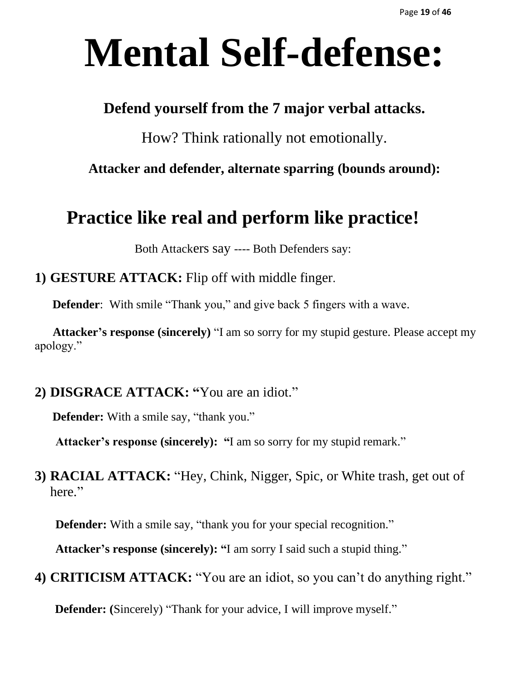# **Mental Self-defense:**

## **Defend yourself from the 7 major verbal attacks.**

How? Think rationally not emotionally.

**Attacker and defender, alternate sparring (bounds around):**

## **Practice like real and perform like practice!**

Both Attackers say ---- Both Defenders say:

**1) GESTURE ATTACK:** Flip off with middle finger.

**Defender**: With smile "Thank you," and give back 5 fingers with a wave.

 **Attacker's response (sincerely)** "I am so sorry for my stupid gesture. Please accept my apology."

## **2) DISGRACE ATTACK: "**You are an idiot."

**Defender:** With a smile say, "thank you."

 **Attacker's response (sincerely): "**I am so sorry for my stupid remark."

**3) RACIAL ATTACK:** "Hey, Chink, Nigger, Spic, or White trash, get out of here."

**Defender:** With a smile say, "thank you for your special recognition."

 **Attacker's response (sincerely): "**I am sorry I said such a stupid thing."

**4) CRITICISM ATTACK:** "You are an idiot, so you can't do anything right."

**Defender:** (Sincerely) "Thank for your advice, I will improve myself."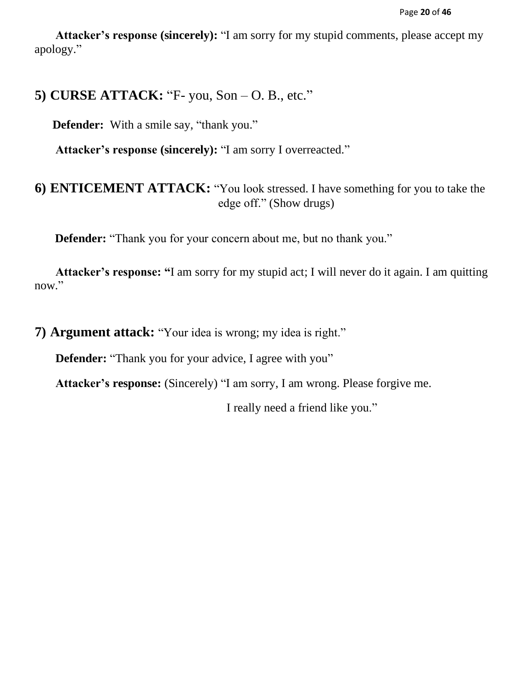**Attacker's response (sincerely):** "I am sorry for my stupid comments, please accept my apology."

## **5) CURSE ATTACK:** "F- you, Son – O. B., etc."

**Defender:** With a smile say, "thank you."

 **Attacker's response (sincerely):** "I am sorry I overreacted."

## **6) ENTICEMENT ATTACK:** "You look stressed. I have something for you to take the edge off." (Show drugs)

 **Defender:** "Thank you for your concern about me, but no thank you."

 **Attacker's response: "**I am sorry for my stupid act; I will never do it again. I am quitting now."

**7) Argument attack:** "Your idea is wrong; my idea is right."

**Defender:** "Thank you for your advice, I agree with you"

 **Attacker's response:** (Sincerely) "I am sorry, I am wrong. Please forgive me.

I really need a friend like you."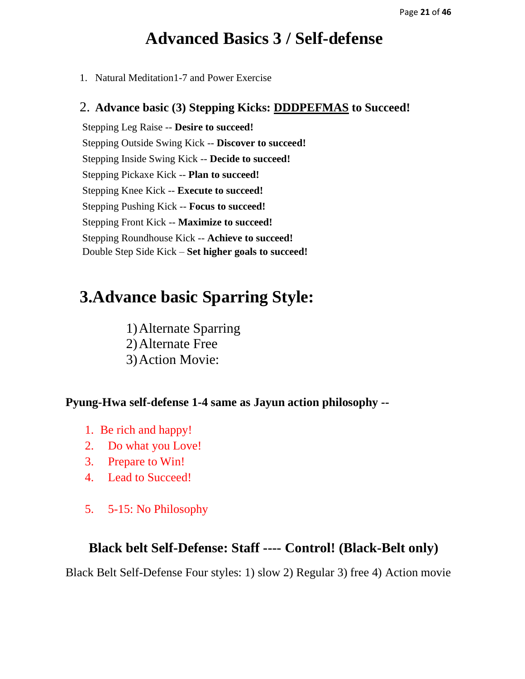## **Advanced Basics 3 / Self-defense**

1. Natural Meditation1-7 and Power Exercise

#### 2. **Advance basic (3) Stepping Kicks: DDDPEFMAS to Succeed!**

Stepping Leg Raise -- **Desire to succeed!** Stepping Outside Swing Kick -- **Discover to succeed!** Stepping Inside Swing Kick -- **Decide to succeed!** Stepping Pickaxe Kick -- **Plan to succeed!** Stepping Knee Kick -- **Execute to succeed!** Stepping Pushing Kick -- **Focus to succeed!** Stepping Front Kick -- **Maximize to succeed!** Stepping Roundhouse Kick -- **Achieve to succeed!** Double Step Side Kick – **Set higher goals to succeed!**

## **3.Advance basic Sparring Style:**

1)Alternate Sparring 2)Alternate Free 3)Action Movie:

**Pyung-Hwa self-defense 1-4 same as Jayun action philosophy --**

- 1. Be rich and happy!
- 2. Do what you Love!
- 3. Prepare to Win!
- 4. Lead to Succeed!
- 5. 5-15: No Philosophy

#### **Black belt Self-Defense: Staff ---- Control! (Black-Belt only)**

Black Belt Self-Defense Four styles: 1) slow 2) Regular 3) free 4) Action movie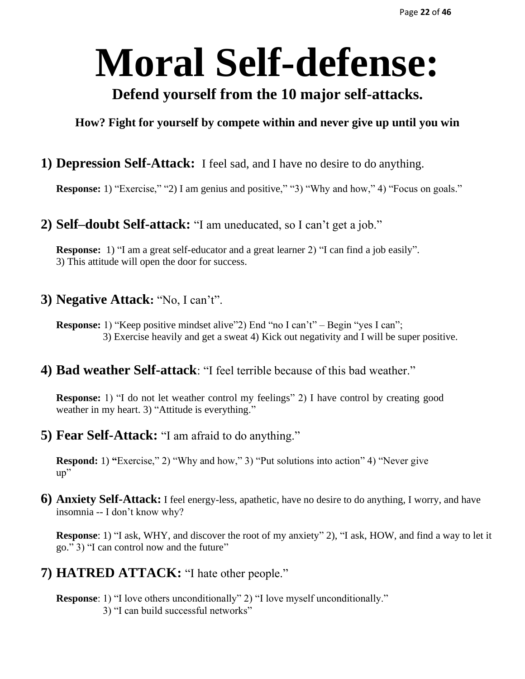# **Moral Self-defense:**

## **Defend yourself from the 10 major self-attacks.**

#### **How? Fight for yourself by compete within and never give up until you win**

## **1) Depression Self-Attack:** I feel sad, and I have no desire to do anything.

**Response:** 1) "Exercise," "2) I am genius and positive," "3) "Why and how," 4) "Focus on goals."

## **2) Self–doubt Self-attack:** "I am uneducated, so I can't get a job."

**Response:** 1) "I am a great self-educator and a great learner 2) "I can find a job easily". 3) This attitude will open the door for success.

#### **3) Negative Attack:** "No, I can't".

**Response:** 1) "Keep positive mindset alive" 2) End "no I can't" – Begin "yes I can"; 3) Exercise heavily and get a sweat 4) Kick out negativity and I will be super positive.

## **4) Bad weather Self-attack**: "I feel terrible because of this bad weather."

**Response:** 1) "I do not let weather control my feelings" 2) I have control by creating good weather in my heart. 3) "Attitude is everything."

**5) Fear Self-Attack:** "I am afraid to do anything."

**Respond:** 1) "Exercise," 2) "Why and how," 3) "Put solutions into action" 4) "Never give up"

**6) Anxiety Self-Attack:** I feel energy-less, apathetic, have no desire to do anything, I worry, and have insomnia -- I don't know why?

**Response**: 1) "I ask, WHY, and discover the root of my anxiety" 2), "I ask, HOW, and find a way to let it go." 3) "I can control now and the future"

**7) HATRED ATTACK:** "I hate other people."

**Response**: 1) "I love others unconditionally" 2) "I love myself unconditionally." 3) "I can build successful networks"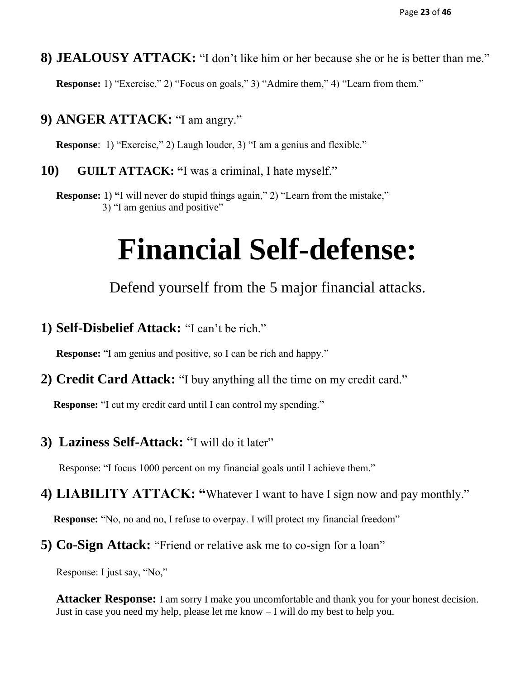**8) JEALOUSY ATTACK:** "I don't like him or her because she or he is better than me."

**Response:** 1) "Exercise," 2) "Focus on goals," 3) "Admire them," 4) "Learn from them."

**9) ANGER ATTACK:** "I am angry."

**Response**: 1) "Exercise," 2) Laugh louder, 3) "I am a genius and flexible."

**10) GUILT ATTACK: "**I was a criminal, I hate myself."

**Response:** 1) "I will never do stupid things again," 2) "Learn from the mistake," 3) "I am genius and positive"

## **Financial Self-defense:**

Defend yourself from the 5 major financial attacks.

**1) Self-Disbelief Attack:** "I can't be rich."

 **Response:** "I am genius and positive, so I can be rich and happy."

**2) Credit Card Attack:** "I buy anything all the time on my credit card."

 **Response:** "I cut my credit card until I can control my spending."

**3) Laziness Self-Attack:** "I will do it later"

Response: "I focus 1000 percent on my financial goals until I achieve them."

**4) LIABILITY ATTACK: "**Whatever I want to have I sign now and pay monthly."

 **Response:** "No, no and no, I refuse to overpay. I will protect my financial freedom"

**5) Co-Sign Attack:** "Friend or relative ask me to co-sign for a loan"

Response: I just say, "No,"

**Attacker Response:** I am sorry I make you uncomfortable and thank you for your honest decision. Just in case you need my help, please let me know – I will do my best to help you.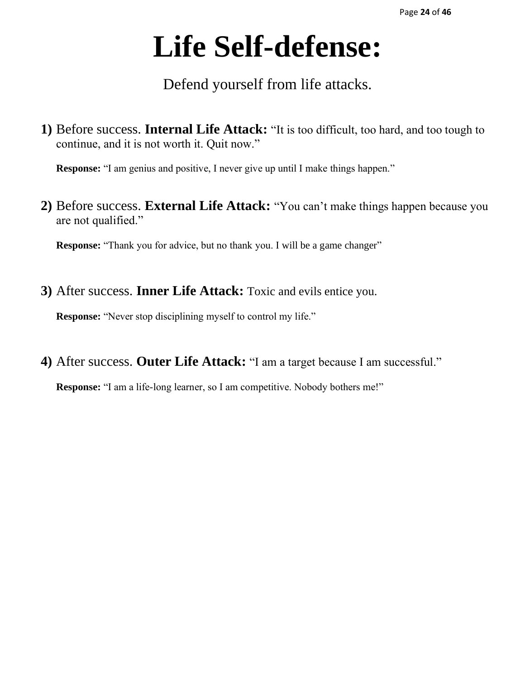# **Life Self-defense:**

Defend yourself from life attacks.

**1)** Before success. **Internal Life Attack:** "It is too difficult, too hard, and too tough to continue, and it is not worth it. Quit now."

 **Response:** "I am genius and positive, I never give up until I make things happen."

**2)** Before success. **External Life Attack:** "You can't make things happen because you are not qualified."

**Response:** "Thank you for advice, but no thank you. I will be a game changer"

**3)** After success. **Inner Life Attack:** Toxic and evils entice you.

 **Response:** "Never stop disciplining myself to control my life."

**4)** After success. **Outer Life Attack:** "I am a target because I am successful."

**Response:** "I am a life-long learner, so I am competitive. Nobody bothers me!"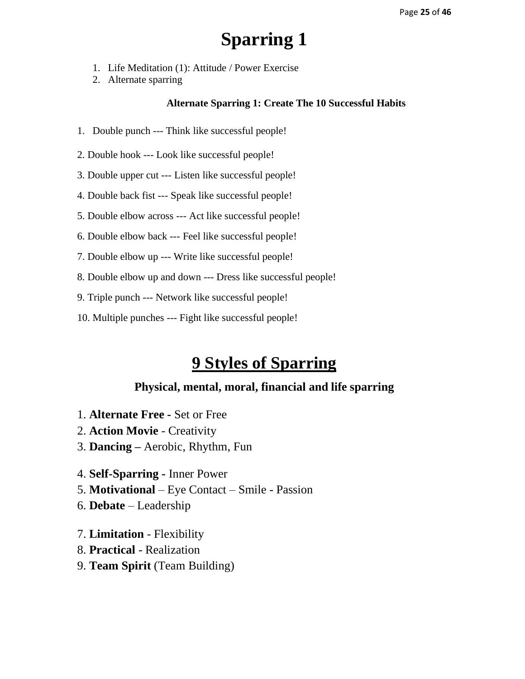- 1. Life Meditation (1): Attitude / Power Exercise
- 2. Alternate sparring

#### **Alternate Sparring 1: Create The 10 Successful Habits**

- 1. Double punch --- Think like successful people!
- 2. Double hook --- Look like successful people!
- 3. Double upper cut --- Listen like successful people!
- 4. Double back fist --- Speak like successful people!
- 5. Double elbow across --- Act like successful people!
- 6. Double elbow back --- Feel like successful people!
- 7. Double elbow up --- Write like successful people!
- 8. Double elbow up and down --- Dress like successful people!
- 9. Triple punch --- Network like successful people!
- 10. Multiple punches --- Fight like successful people!

## **9 Styles of Sparring**

- 1. **Alternate Free -** Set or Free
- 2. **Action Movie**  Creativity
- 3. **Dancing –** Aerobic, Rhythm, Fun
- 4. **Self-Sparring -** Inner Power
- 5. **Motivational** Eye Contact Smile Passion
- 6. **Debate**  Leadership
- 7. **Limitation**  Flexibility
- 8. **Practical** Realization
- 9. **Team Spirit** (Team Building)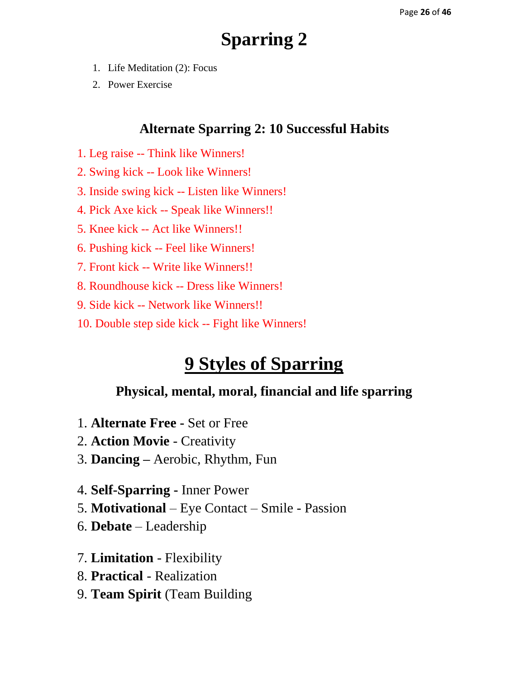- 1. Life Meditation (2): Focus
- 2. Power Exercise

## **Alternate Sparring 2: 10 Successful Habits**

- 1. Leg raise -- Think like Winners!
- 2. Swing kick -- Look like Winners!
- 3. Inside swing kick -- Listen like Winners!
- 4. Pick Axe kick -- Speak like Winners!!
- 5. Knee kick -- Act like Winners!!
- 6. Pushing kick -- Feel like Winners!
- 7. Front kick -- Write like Winners!!
- 8. Roundhouse kick -- Dress like Winners!
- 9. Side kick -- Network like Winners!!
- 10. Double step side kick -- Fight like Winners!

## **9 Styles of Sparring**

- 1. **Alternate Free -** Set or Free
- 2. **Action Movie**  Creativity
- 3. **Dancing –** Aerobic, Rhythm, Fun
- 4. **Self-Sparring -** Inner Power
- 5. **Motivational** Eye Contact Smile Passion
- 6. **Debate**  Leadership
- 7. **Limitation**  Flexibility
- 8. **Practical** Realization
- 9. **Team Spirit** (Team Building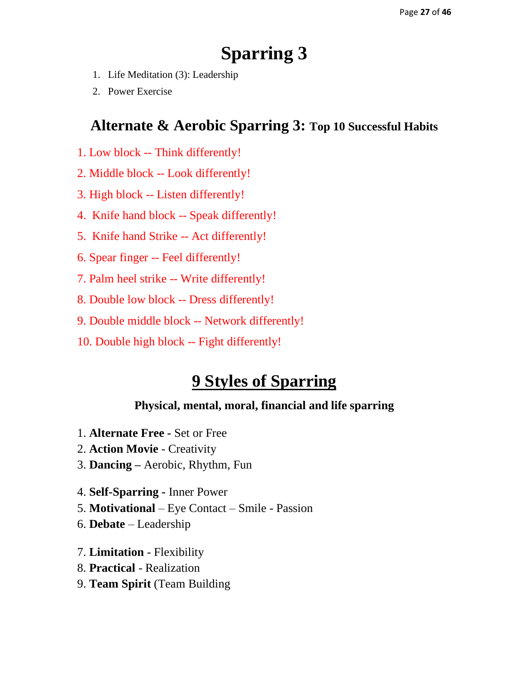- 1. Life Meditation (3): Leadership
- 2. Power Exercise

## **Alternate & Aerobic Sparring 3: Top 10 Successful Habits**

- 1. Low block -- Think differently!
- 2. Middle block -- Look differently!
- 3. High block -- Listen differently!
- 4. Knife hand block -- Speak differently!
- 5. Knife hand Strike -- Act differently!
- 6. Spear finger -- Feel differently!
- 7. Palm heel strike -- Write differently!
- 8. Double low block -- Dress differently!
- 9. Double middle block -- Network differently!
- 10. Double high block -- Fight differently!

## **9 Styles of Sparring**

- 1. **Alternate Free -** Set or Free
- 2. **Action Movie**  Creativity
- 3. **Dancing –** Aerobic, Rhythm, Fun
- 4. **Self-Sparring -** Inner Power
- 5. **Motivational** Eye Contact Smile Passion
- 6. **Debate**  Leadership
- 7. **Limitation**  Flexibility
- 8. **Practical** Realization
- 9. **Team Spirit** (Team Building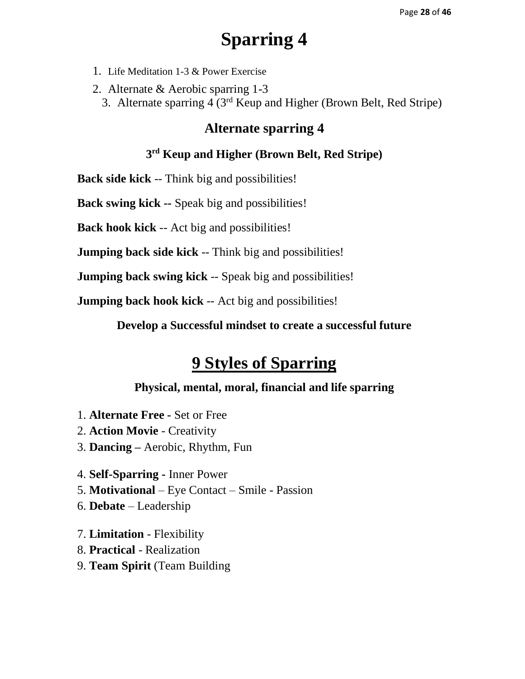- 1. Life Meditation 1-3 & Power Exercise
- 2. Alternate & Aerobic sparring 1-3
	- 3. Alternate sparring 4 (3rd Keup and Higher (Brown Belt, Red Stripe)

## **Alternate sparring 4**

#### **3 rd Keup and Higher (Brown Belt, Red Stripe)**

**Back side kick** -- Think big and possibilities!

**Back swing kick --** Speak big and possibilities!

**Back hook kick** -- Act big and possibilities!

**Jumping back side kick** -- Think big and possibilities!

**Jumping back swing kick** -- Speak big and possibilities!

**Jumping back hook kick** -- Act big and possibilities!

**Develop a Successful mindset to create a successful future**

## **9 Styles of Sparring**

- 1. **Alternate Free -** Set or Free
- 2. **Action Movie**  Creativity
- 3. **Dancing –** Aerobic, Rhythm, Fun
- 4. **Self-Sparring -** Inner Power
- 5. **Motivational** Eye Contact Smile Passion
- 6. **Debate**  Leadership
- 7. **Limitation**  Flexibility
- 8. **Practical** Realization
- 9. **Team Spirit** (Team Building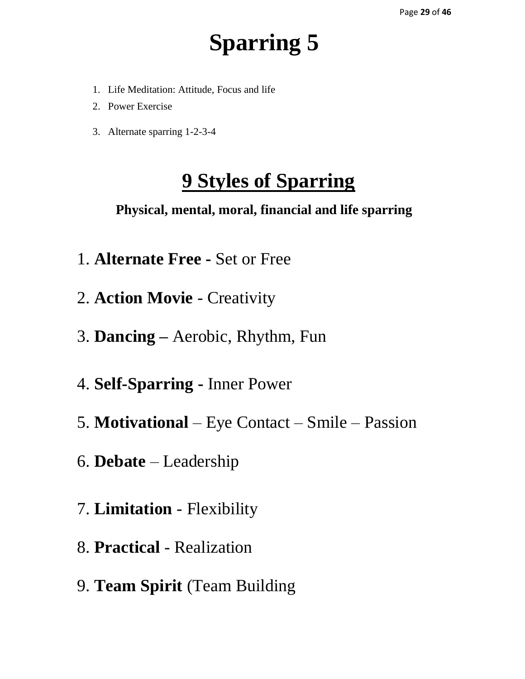- 1. Life Meditation: Attitude, Focus and life
- 2. Power Exercise
- 3. Alternate sparring 1-2-3-4

## **9 Styles of Sparring**

- 1. **Alternate Free -** Set or Free
- 2. **Action Movie**  Creativity
- 3. **Dancing –** Aerobic, Rhythm, Fun
- 4. **Self-Sparring -** Inner Power
- 5. **Motivational** Eye Contact Smile Passion
- 6. **Debate**  Leadership
- 7. **Limitation**  Flexibility
- 8. **Practical** Realization
- 9. **Team Spirit** (Team Building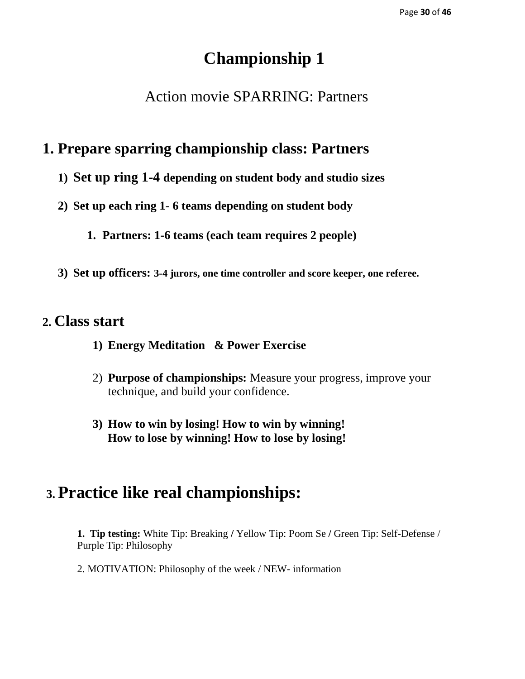## **Championship 1**

## Action movie SPARRING: Partners

## **1. Prepare sparring championship class: Partners**

- **1) Set up ring 1-4 depending on student body and studio sizes**
- **2) Set up each ring 1- 6 teams depending on student body** 
	- **1. Partners: 1-6 teams (each team requires 2 people)**
- **3) Set up officers: 3-4 jurors, one time controller and score keeper, one referee.**

## **2. Class start**

- **1) Energy Meditation & Power Exercise**
- 2) **Purpose of championships:** Measure your progress, improve your technique, and build your confidence.
- **3) How to win by losing! How to win by winning! How to lose by winning! How to lose by losing!**

## **3. Practice like real championships:**

**1. Tip testing:** White Tip: Breaking **/** Yellow Tip: Poom Se **/** Green Tip: Self-Defense / Purple Tip: Philosophy

2. MOTIVATION: Philosophy of the week / NEW- information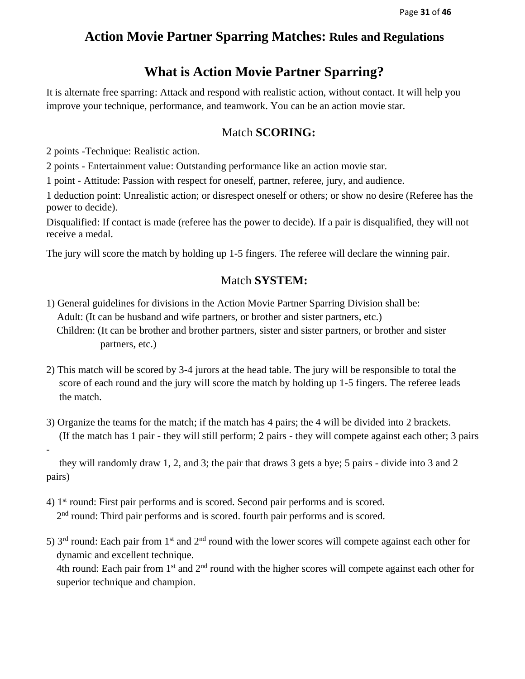## **Action Movie Partner Sparring Matches: Rules and Regulations**

## **What is Action Movie Partner Sparring?**

It is alternate free sparring: Attack and respond with realistic action, without contact. It will help you improve your technique, performance, and teamwork. You can be an action movie star.

#### Match **SCORING:**

2 points -Technique: Realistic action.

-

2 points - Entertainment value: Outstanding performance like an action movie star.

1 point - Attitude: Passion with respect for oneself, partner, referee, jury, and audience.

1 deduction point: Unrealistic action; or disrespect oneself or others; or show no desire (Referee has the power to decide).

Disqualified: If contact is made (referee has the power to decide). If a pair is disqualified, they will not receive a medal.

The jury will score the match by holding up 1-5 fingers. The referee will declare the winning pair.

#### Match **SYSTEM:**

- 1) General guidelines for divisions in the Action Movie Partner Sparring Division shall be: Adult: (It can be husband and wife partners, or brother and sister partners, etc.) Children: (It can be brother and brother partners, sister and sister partners, or brother and sister partners, etc.)
- 2) This match will be scored by 3-4 jurors at the head table. The jury will be responsible to total the score of each round and the jury will score the match by holding up 1-5 fingers. The referee leads the match.
- 3) Organize the teams for the match; if the match has 4 pairs; the 4 will be divided into 2 brackets. (If the match has 1 pair - they will still perform; 2 pairs - they will compete against each other; 3 pairs

 they will randomly draw 1, 2, and 3; the pair that draws 3 gets a bye; 5 pairs - divide into 3 and 2 pairs)

- 4) 1st round: First pair performs and is scored. Second pair performs and is scored. 2<sup>nd</sup> round: Third pair performs and is scored. fourth pair performs and is scored.
- 5)  $3<sup>rd</sup>$  round: Each pair from  $1<sup>st</sup>$  and  $2<sup>nd</sup>$  round with the lower scores will compete against each other for dynamic and excellent technique.

4th round: Each pair from 1<sup>st</sup> and 2<sup>nd</sup> round with the higher scores will compete against each other for superior technique and champion.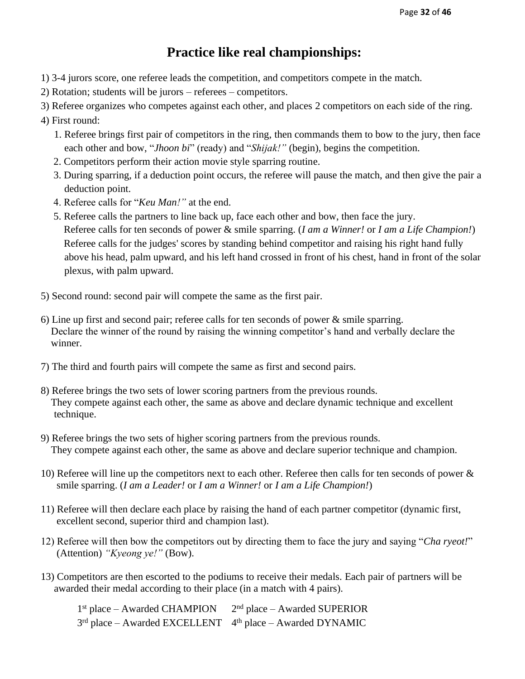## **Practice like real championships:**

- 1) 3-4 jurors score, one referee leads the competition, and competitors compete in the match.
- 2) Rotation; students will be jurors referees competitors.
- 3) Referee organizes who competes against each other, and places 2 competitors on each side of the ring.
- 4) First round:
	- 1. Referee brings first pair of competitors in the ring, then commands them to bow to the jury, then face each other and bow, "*Jhoon bi*" (ready) and "*Shijak!"* (begin), begins the competition.
	- 2. Competitors perform their action movie style sparring routine.
	- 3. During sparring, if a deduction point occurs, the referee will pause the match, and then give the pair a deduction point.
	- 4. Referee calls for "*Keu Man!"* at the end.
	- 5. Referee calls the partners to line back up, face each other and bow, then face the jury. Referee calls for ten seconds of power & smile sparring. (*I am a Winner!* or *I am a Life Champion!*) Referee calls for the judges' scores by standing behind competitor and raising his right hand fully above his head, palm upward, and his left hand crossed in front of his chest, hand in front of the solar plexus, with palm upward.
- 5) Second round: second pair will compete the same as the first pair.
- 6) Line up first and second pair; referee calls for ten seconds of power & smile sparring. Declare the winner of the round by raising the winning competitor's hand and verbally declare the winner.
- 7) The third and fourth pairs will compete the same as first and second pairs.
- 8) Referee brings the two sets of lower scoring partners from the previous rounds. They compete against each other, the same as above and declare dynamic technique and excellent technique.
- 9) Referee brings the two sets of higher scoring partners from the previous rounds. They compete against each other, the same as above and declare superior technique and champion.
- 10) Referee will line up the competitors next to each other. Referee then calls for ten seconds of power & smile sparring. (*I am a Leader!* or *I am a Winner!* or *I am a Life Champion!*)
- 11) Referee will then declare each place by raising the hand of each partner competitor (dynamic first, excellent second, superior third and champion last).
- 12) Referee will then bow the competitors out by directing them to face the jury and saying "*Cha ryeot!*" (Attention) *"Kyeong ye!"* (Bow).
- 13) Competitors are then escorted to the podiums to receive their medals. Each pair of partners will be awarded their medal according to their place (in a match with 4 pairs).

1<sup>st</sup> place – Awarded CHAMPION 2  $2<sup>nd</sup>$  place – Awarded SUPERIOR  $3<sup>rd</sup>$  place – Awarded EXCELLENT  $4<sup>th</sup>$  place – Awarded DYNAMIC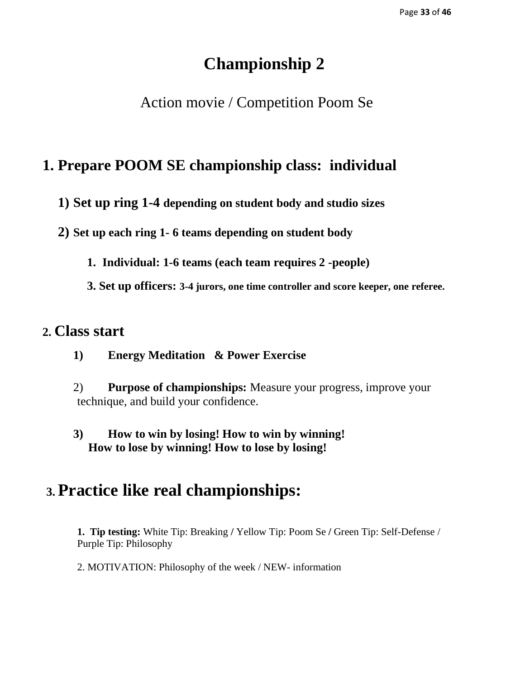## **Championship 2**

## Action movie / Competition Poom Se

## **1. Prepare POOM SE championship class: individual**

**1) Set up ring 1-4 depending on student body and studio sizes**

**2) Set up each ring 1- 6 teams depending on student body** 

**1. Individual: 1-6 teams (each team requires 2 -people)**

**3. Set up officers: 3-4 jurors, one time controller and score keeper, one referee.**

## **2. Class start**

- **1) Energy Meditation & Power Exercise**
- 2) **Purpose of championships:** Measure your progress, improve your technique, and build your confidence.
- **3) How to win by losing! How to win by winning! How to lose by winning! How to lose by losing!**

## **3. Practice like real championships:**

**1. Tip testing:** White Tip: Breaking **/** Yellow Tip: Poom Se **/** Green Tip: Self-Defense / Purple Tip: Philosophy

2. MOTIVATION: Philosophy of the week / NEW- information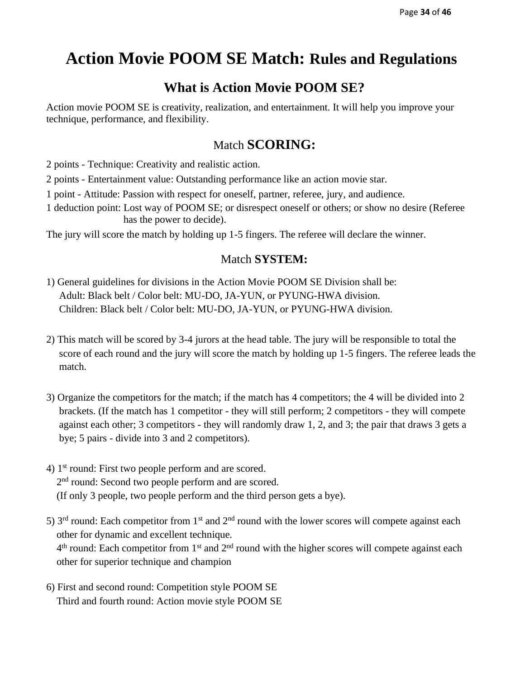## **Action Movie POOM SE Match: Rules and Regulations**

## **What is Action Movie POOM SE?**

Action movie POOM SE is creativity, realization, and entertainment. It will help you improve your technique, performance, and flexibility.

## Match **SCORING:**

2 points - Technique: Creativity and realistic action.

2 points - Entertainment value: Outstanding performance like an action movie star.

1 point - Attitude: Passion with respect for oneself, partner, referee, jury, and audience.

1 deduction point: Lost way of POOM SE; or disrespect oneself or others; or show no desire (Referee has the power to decide).

The jury will score the match by holding up 1-5 fingers. The referee will declare the winner.

#### Match **SYSTEM:**

- 1) General guidelines for divisions in the Action Movie POOM SE Division shall be: Adult: Black belt / Color belt: MU-DO, JA-YUN, or PYUNG-HWA division. Children: Black belt / Color belt: MU-DO, JA-YUN, or PYUNG-HWA division.
- 2) This match will be scored by 3-4 jurors at the head table. The jury will be responsible to total the score of each round and the jury will score the match by holding up 1-5 fingers. The referee leads the match.
- 3) Organize the competitors for the match; if the match has 4 competitors; the 4 will be divided into 2 brackets. (If the match has 1 competitor - they will still perform; 2 competitors - they will compete against each other; 3 competitors - they will randomly draw 1, 2, and 3; the pair that draws 3 gets a bye; 5 pairs - divide into 3 and 2 competitors).
- 4) 1st round: First two people perform and are scored. 2<sup>nd</sup> round: Second two people perform and are scored. (If only 3 people, two people perform and the third person gets a bye).
- 5)  $3<sup>rd</sup>$  round: Each competitor from  $1<sup>st</sup>$  and  $2<sup>nd</sup>$  round with the lower scores will compete against each other for dynamic and excellent technique.  $4<sup>th</sup>$  round: Each competitor from 1<sup>st</sup> and 2<sup>nd</sup> round with the higher scores will compete against each other for superior technique and champion
- 6) First and second round: Competition style POOM SE Third and fourth round: Action movie style POOM SE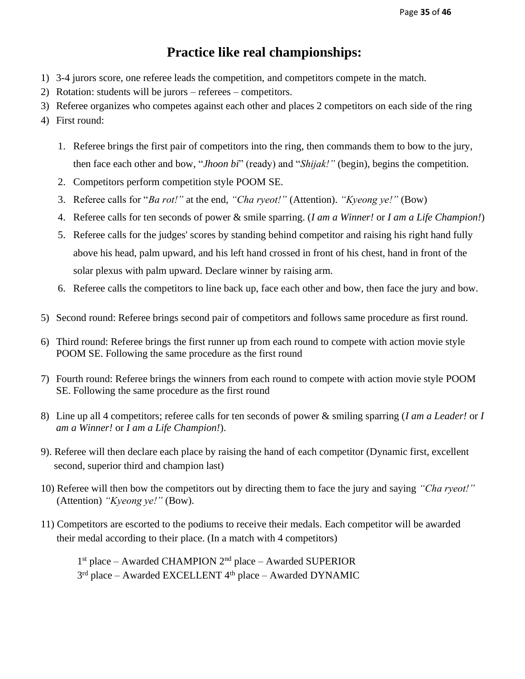## **Practice like real championships:**

- 1) 3-4 jurors score, one referee leads the competition, and competitors compete in the match.
- 2) Rotation: students will be jurors referees competitors.
- 3) Referee organizes who competes against each other and places 2 competitors on each side of the ring
- 4) First round:
	- 1. Referee brings the first pair of competitors into the ring, then commands them to bow to the jury, then face each other and bow, "*Jhoon bi*" (ready) and "*Shijak!"* (begin), begins the competition.
	- 2. Competitors perform competition style POOM SE.
	- 3. Referee calls for "*Ba rot!"* at the end, *"Cha ryeot!"* (Attention). *"Kyeong ye!"* (Bow)
	- 4. Referee calls for ten seconds of power & smile sparring. (*I am a Winner!* or *I am a Life Champion!*)
	- 5. Referee calls for the judges' scores by standing behind competitor and raising his right hand fully above his head, palm upward, and his left hand crossed in front of his chest, hand in front of the solar plexus with palm upward. Declare winner by raising arm.
	- 6. Referee calls the competitors to line back up, face each other and bow, then face the jury and bow.
- 5) Second round: Referee brings second pair of competitors and follows same procedure as first round.
- 6) Third round: Referee brings the first runner up from each round to compete with action movie style POOM SE. Following the same procedure as the first round
- 7) Fourth round: Referee brings the winners from each round to compete with action movie style POOM SE. Following the same procedure as the first round
- 8) Line up all 4 competitors; referee calls for ten seconds of power & smiling sparring (*I am a Leader!* or *I am a Winner!* or *I am a Life Champion!*).
- 9). Referee will then declare each place by raising the hand of each competitor (Dynamic first, excellent second, superior third and champion last)
- 10) Referee will then bow the competitors out by directing them to face the jury and saying *"Cha ryeot!"* (Attention) *"Kyeong ye!"* (Bow).
- 11) Competitors are escorted to the podiums to receive their medals. Each competitor will be awarded their medal according to their place. (In a match with 4 competitors)

1 st place – Awarded CHAMPION 2nd place – Awarded SUPERIOR 3<sup>rd</sup> place – Awarded EXCELLENT 4<sup>th</sup> place – Awarded DYNAMIC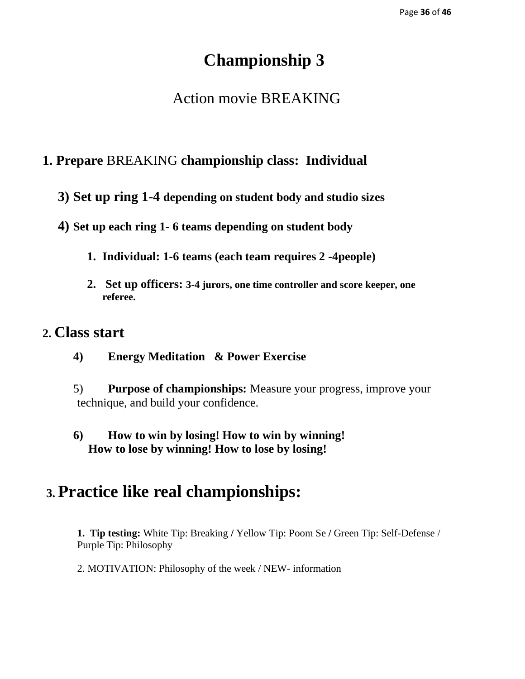## **Championship 3**

## Action movie BREAKING

## **1. Prepare** BREAKING **championship class: Individual**

- **3) Set up ring 1-4 depending on student body and studio sizes**
- **4) Set up each ring 1- 6 teams depending on student body** 
	- **1. Individual: 1-6 teams (each team requires 2 -4people)**
	- **2. Set up officers: 3-4 jurors, one time controller and score keeper, one referee.**

## **2. Class start**

- **4) Energy Meditation & Power Exercise**
- 5) **Purpose of championships:** Measure your progress, improve your technique, and build your confidence.
- **6) How to win by losing! How to win by winning! How to lose by winning! How to lose by losing!**

## **3. Practice like real championships:**

**1. Tip testing:** White Tip: Breaking **/** Yellow Tip: Poom Se **/** Green Tip: Self-Defense / Purple Tip: Philosophy

2. MOTIVATION: Philosophy of the week / NEW- information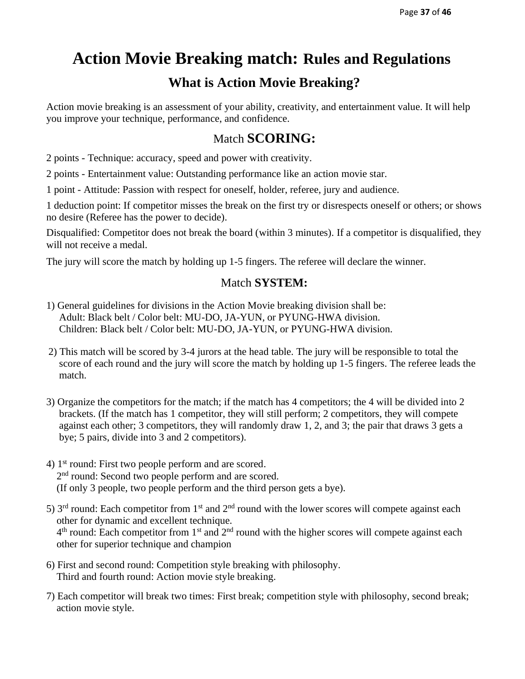## **Action Movie Breaking match: Rules and Regulations**

## **What is Action Movie Breaking?**

Action movie breaking is an assessment of your ability, creativity, and entertainment value. It will help you improve your technique, performance, and confidence.

## Match **SCORING:**

2 points - Technique: accuracy, speed and power with creativity.

2 points - Entertainment value: Outstanding performance like an action movie star.

1 point - Attitude: Passion with respect for oneself, holder, referee, jury and audience.

1 deduction point: If competitor misses the break on the first try or disrespects oneself or others; or shows no desire (Referee has the power to decide).

Disqualified: Competitor does not break the board (within 3 minutes). If a competitor is disqualified, they will not receive a medal.

The jury will score the match by holding up 1-5 fingers. The referee will declare the winner.

#### Match **SYSTEM:**

- 1) General guidelines for divisions in the Action Movie breaking division shall be: Adult: Black belt / Color belt: MU-DO, JA-YUN, or PYUNG-HWA division. Children: Black belt / Color belt: MU-DO, JA-YUN, or PYUNG-HWA division.
- 2) This match will be scored by 3-4 jurors at the head table. The jury will be responsible to total the score of each round and the jury will score the match by holding up 1-5 fingers. The referee leads the match.
- 3) Organize the competitors for the match; if the match has 4 competitors; the 4 will be divided into 2 brackets. (If the match has 1 competitor, they will still perform; 2 competitors, they will compete against each other; 3 competitors, they will randomly draw 1, 2, and 3; the pair that draws 3 gets a bye; 5 pairs, divide into 3 and 2 competitors).
- 4) 1st round: First two people perform and are scored. 2<sup>nd</sup> round: Second two people perform and are scored. (If only 3 people, two people perform and the third person gets a bye).
- 5)  $3<sup>rd</sup>$  round: Each competitor from  $1<sup>st</sup>$  and  $2<sup>nd</sup>$  round with the lower scores will compete against each other for dynamic and excellent technique.  $4<sup>th</sup>$  round: Each competitor from 1<sup>st</sup> and 2<sup>nd</sup> round with the higher scores will compete against each other for superior technique and champion
- 6) First and second round: Competition style breaking with philosophy. Third and fourth round: Action movie style breaking.
- 7) Each competitor will break two times: First break; competition style with philosophy, second break; action movie style.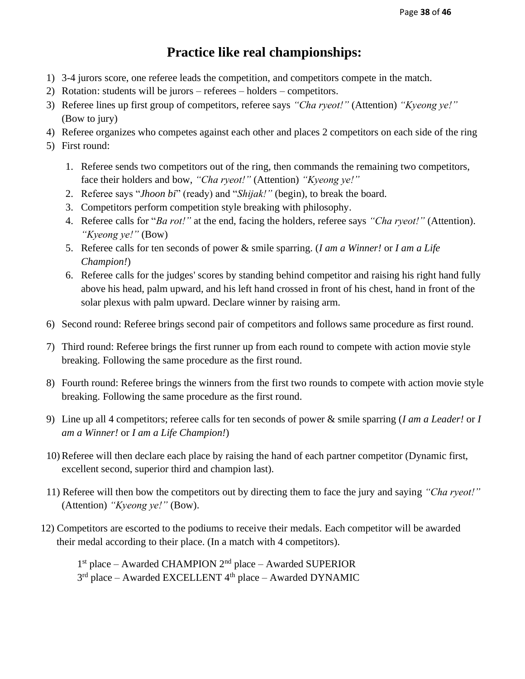## **Practice like real championships:**

- 1) 3-4 jurors score, one referee leads the competition, and competitors compete in the match.
- 2) Rotation: students will be jurors referees holders competitors.
- 3) Referee lines up first group of competitors, referee says *"Cha ryeot!"* (Attention) *"Kyeong ye!"* (Bow to jury)
- 4) Referee organizes who competes against each other and places 2 competitors on each side of the ring
- 5) First round:
	- 1. Referee sends two competitors out of the ring, then commands the remaining two competitors, face their holders and bow, *"Cha ryeot!"* (Attention) *"Kyeong ye!"*
	- 2. Referee says "*Jhoon bi*" (ready) and "*Shijak!"* (begin), to break the board.
	- 3. Competitors perform competition style breaking with philosophy.
	- 4. Referee calls for "*Ba rot!"* at the end, facing the holders, referee says *"Cha ryeot!"* (Attention). *"Kyeong ye!"* (Bow)
	- 5. Referee calls for ten seconds of power & smile sparring. (*I am a Winner!* or *I am a Life Champion!*)
	- 6. Referee calls for the judges' scores by standing behind competitor and raising his right hand fully above his head, palm upward, and his left hand crossed in front of his chest, hand in front of the solar plexus with palm upward. Declare winner by raising arm.
- 6) Second round: Referee brings second pair of competitors and follows same procedure as first round.
- 7) Third round: Referee brings the first runner up from each round to compete with action movie style breaking. Following the same procedure as the first round.
- 8) Fourth round: Referee brings the winners from the first two rounds to compete with action movie style breaking. Following the same procedure as the first round.
- 9) Line up all 4 competitors; referee calls for ten seconds of power & smile sparring (*I am a Leader!* or *I am a Winner!* or *I am a Life Champion!*)
- 10) Referee will then declare each place by raising the hand of each partner competitor (Dynamic first, excellent second, superior third and champion last).
- 11) Referee will then bow the competitors out by directing them to face the jury and saying *"Cha ryeot!"* (Attention) *"Kyeong ye!"* (Bow).
- 12) Competitors are escorted to the podiums to receive their medals. Each competitor will be awarded their medal according to their place. (In a match with 4 competitors).

1 st place – Awarded CHAMPION 2nd place – Awarded SUPERIOR 3<sup>rd</sup> place – Awarded EXCELLENT 4<sup>th</sup> place – Awarded DYNAMIC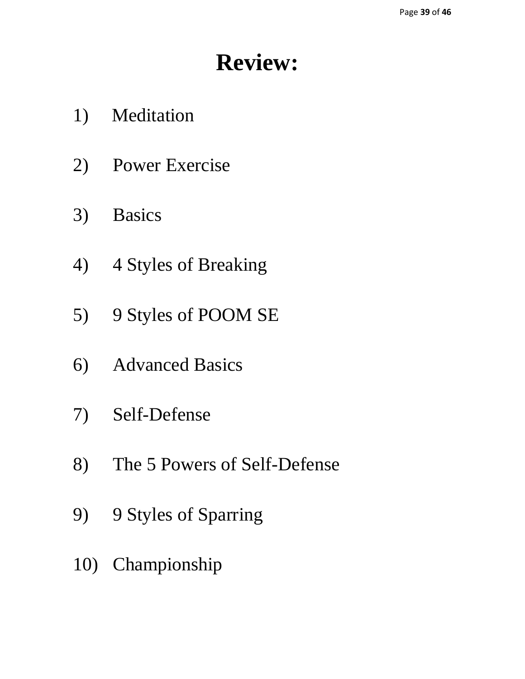## **Review:**

- 1) Meditation
- 2) Power Exercise
- 3) Basics
- 4) 4 Styles of Breaking
- 5) 9 Styles of POOM SE
- 6) Advanced Basics
- 7) Self-Defense
- 8) The 5 Powers of Self-Defense
- 9) 9 Styles of Sparring
- 10) Championship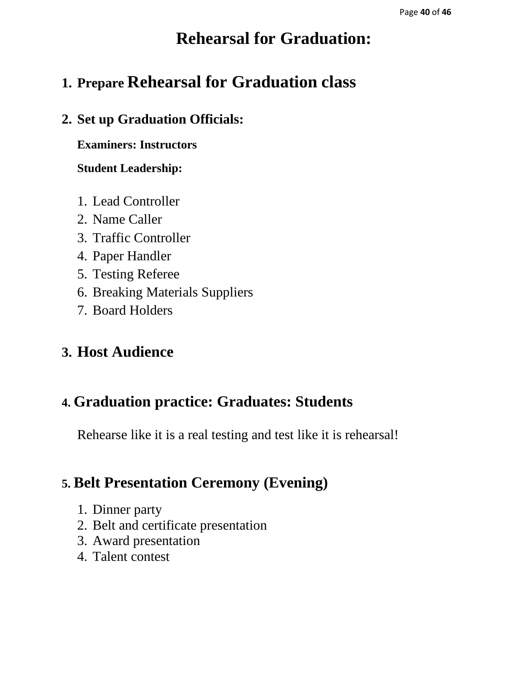## **Rehearsal for Graduation:**

## **1. Prepare Rehearsal for Graduation class**

## **2. Set up Graduation Officials:**

**Examiners: Instructors**

**Student Leadership:**

- 1. Lead Controller
- 2. Name Caller
- 3. Traffic Controller
- 4. Paper Handler
- 5. Testing Referee
- 6. Breaking Materials Suppliers
- 7. Board Holders

## **3. Host Audience**

## **4. Graduation practice: Graduates: Students**

Rehearse like it is a real testing and test like it is rehearsal!

## **5. Belt Presentation Ceremony (Evening)**

- 1. Dinner party
- 2. Belt and certificate presentation
- 3. Award presentation
- 4. Talent contest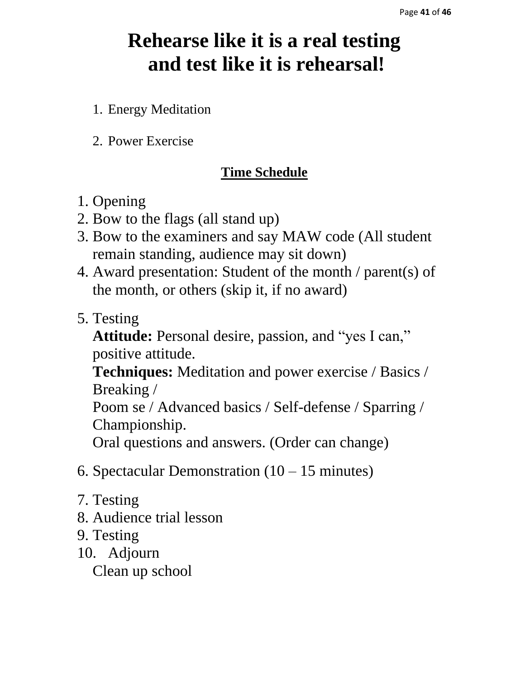## **Rehearse like it is a real testing and test like it is rehearsal!**

- 1. Energy Meditation
- 2. Power Exercise

## **Time Schedule**

- 1. Opening
- 2. Bow to the flags (all stand up)
- 3. Bow to the examiners and say MAW code (All student remain standing, audience may sit down)
- 4. Award presentation: Student of the month / parent(s) of the month, or others (skip it, if no award)
- 5. Testing

**Attitude:** Personal desire, passion, and "yes I can," positive attitude.

**Techniques:** Meditation and power exercise / Basics / Breaking /

Poom se / Advanced basics / Self-defense / Sparring / Championship.

Oral questions and answers. (Order can change)

- 6. Spectacular Demonstration  $(10 15 \text{ minutes})$
- 7. Testing
- 8. Audience trial lesson
- 9. Testing
- 10. Adjourn

Clean up school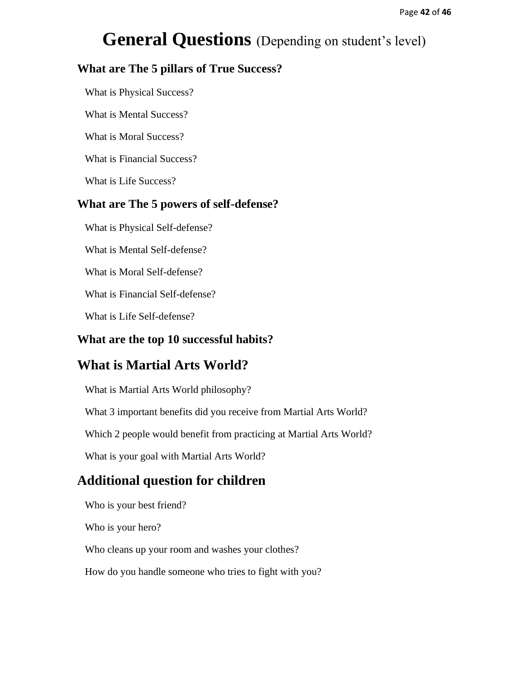## **General Questions** (Depending on student's level)

#### **What are The 5 pillars of True Success?**

What is Physical Success?

What is Mental Success?

What is Moral Success?

What is Financial Success?

What is Life Success?

#### **What are The 5 powers of self-defense?**

What is Physical Self-defense?

What is Mental Self-defense?

What is Moral Self-defense?

What is Financial Self-defense?

What is Life Self-defense?

#### **What are the top 10 successful habits?**

## **What is Martial Arts World?**

What is Martial Arts World philosophy?

What 3 important benefits did you receive from Martial Arts World?

Which 2 people would benefit from practicing at Martial Arts World?

What is your goal with Martial Arts World?

## **Additional question for children**

Who is your best friend?

Who is your hero?

Who cleans up your room and washes your clothes?

How do you handle someone who tries to fight with you?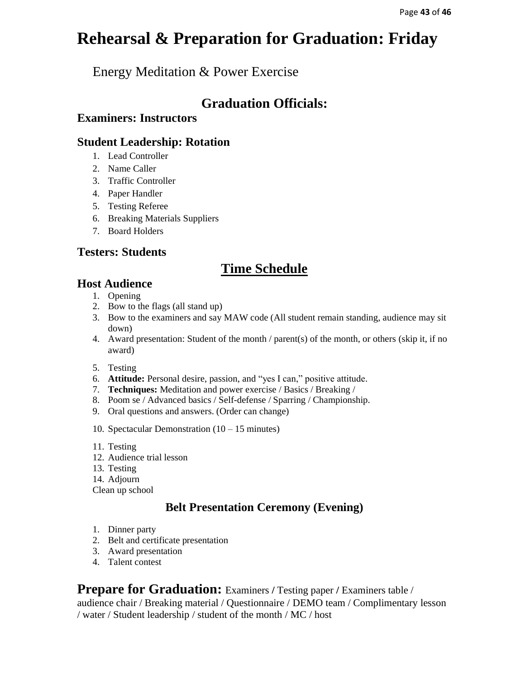## **Rehearsal & Preparation for Graduation: Friday**

Energy Meditation & Power Exercise

## **Graduation Officials:**

#### **Examiners: Instructors**

#### **Student Leadership: Rotation**

- 1. Lead Controller
- 2. Name Caller
- 3. Traffic Controller
- 4. Paper Handler
- 5. Testing Referee
- 6. Breaking Materials Suppliers
- 7. Board Holders

#### **Testers: Students**

## **Time Schedule**

#### **Host Audience**

- 1. Opening
- 2. Bow to the flags (all stand up)
- 3. Bow to the examiners and say MAW code (All student remain standing, audience may sit down)
- 4. Award presentation: Student of the month / parent(s) of the month, or others (skip it, if no award)
- 5. Testing
- 6. **Attitude:** Personal desire, passion, and "yes I can," positive attitude.
- 7. **Techniques:** Meditation and power exercise / Basics / Breaking /
- 8. Poom se / Advanced basics / Self-defense / Sparring / Championship.
- 9. Oral questions and answers. (Order can change)
- 10. Spectacular Demonstration (10 15 minutes)
- 11. Testing
- 12. Audience trial lesson
- 13. Testing
- 14. Adjourn
- Clean up school

## **Belt Presentation Ceremony (Evening)**

- 1. Dinner party
- 2. Belt and certificate presentation
- 3. Award presentation
- 4. Talent contest

**Prepare for Graduation:** Examiners / Testing paper / Examiners table /

audience chair / Breaking material / Questionnaire / DEMO team / Complimentary lesson / water / Student leadership / student of the month / MC / host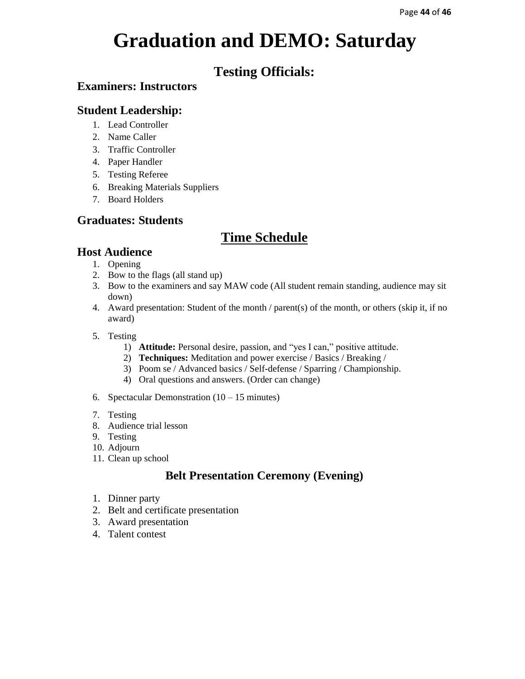## **Graduation and DEMO: Saturday**

## **Testing Officials:**

#### **Examiners: Instructors**

#### **Student Leadership:**

- 1. Lead Controller
- 2. Name Caller
- 3. Traffic Controller
- 4. Paper Handler
- 5. Testing Referee
- 6. Breaking Materials Suppliers
- 7. Board Holders

## **Graduates: Students**

## **Time Schedule**

## **Host Audience**

- 1. Opening
- 2. Bow to the flags (all stand up)
- 3. Bow to the examiners and say MAW code (All student remain standing, audience may sit down)
- 4. Award presentation: Student of the month / parent(s) of the month, or others (skip it, if no award)
- 5. Testing
	- 1) **Attitude:** Personal desire, passion, and "yes I can," positive attitude.
	- 2) **Techniques:** Meditation and power exercise / Basics / Breaking /
	- 3) Poom se / Advanced basics / Self-defense / Sparring / Championship.
	- 4) Oral questions and answers. (Order can change)
- 6. Spectacular Demonstration  $(10 15 \text{ minutes})$
- 7. Testing
- 8. Audience trial lesson
- 9. Testing
- 10. Adjourn
- 11. Clean up school

## **Belt Presentation Ceremony (Evening)**

- 1. Dinner party
- 2. Belt and certificate presentation
- 3. Award presentation
- 4. Talent contest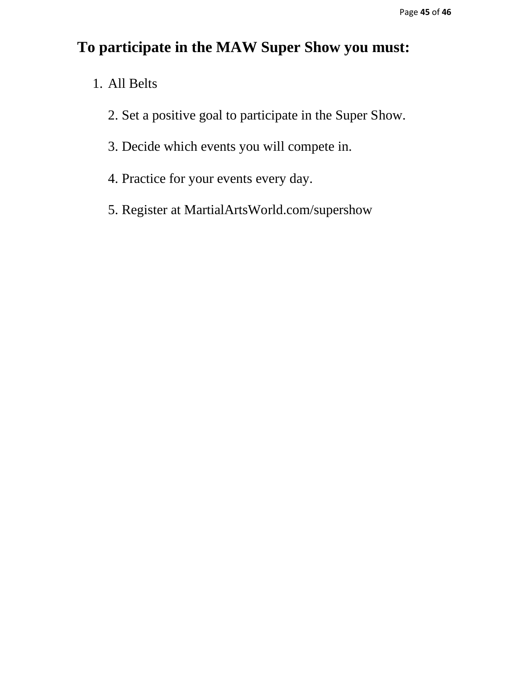## **To participate in the MAW Super Show you must:**

- 1. All Belts
	- 2. Set a positive goal to participate in the Super Show.
	- 3. Decide which events you will compete in.
	- 4. Practice for your events every day.
	- 5. Register at MartialArtsWorld.com/supershow